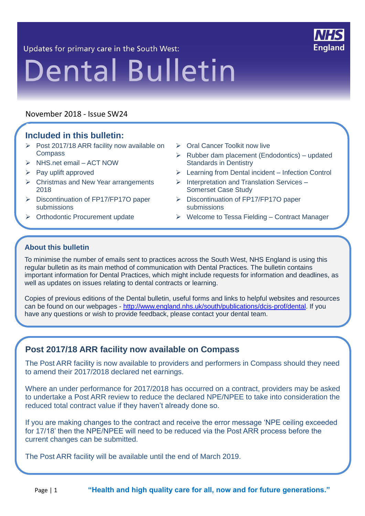Updates for primary care in the South West:



# **Dental Bulletin**

#### November 2018 - Issue SW24

#### **Included in this bulletin:** 21

- $\triangleright$  Post 2017/18 ARR facility now available on **Compass**
- $\triangleright$  NHS.net email ACT NOW
- $\triangleright$  Pay uplift approved
- $\triangleright$  Christmas and New Year arrangements 2018
- Discontinuation of FP17/FP17O paper submissions
- > Orthodontic Procurement update
- Oral Cancer Toolkit now live
- $\triangleright$  Rubber dam placement (Endodontics) updated Standards in Dentistry
- Learning from Dental incident Infection Control
- $\triangleright$  Interpretation and Translation Services Somerset Case Study
- Discontinuation of FP17/FP17O paper submissions
- $\triangleright$  Welcome to Tessa Fielding Contract Manager

#### **About this bulletin**

L.

To minimise the number of emails sent to practices across the South West, NHS England is using this regular bulletin as its main method of communication with Dental Practices. The bulletin contains important information for Dental Practices, which might include requests for information and deadlines, as well as updates on issues relating to dental contracts or learning.

Copies of previous editions of the Dental bulletin, useful forms and links to helpful websites and resources can be found on our webpages - [http://www.england.nhs.uk/south/publications/dcis-prof/dental.](http://www.england.nhs.uk/south/publications/dcis-prof/dental) If you have any questions or wish to provide feedback, please contact your dental team.

# **Post 2017/18 ARR facility now available on Compass**

The Post ARR facility is now available to providers and performers in Compass should they need to amend their 2017/2018 declared net earnings.

Where an under performance for 2017/2018 has occurred on a contract, providers may be asked to undertake a Post ARR review to reduce the declared NPE/NPEE to take into consideration the reduced total contract value if they haven't already done so.

If you are making changes to the contract and receive the error message 'NPE ceiling exceeded for 17/18' then the NPE/NPEE will need to be reduced via the Post ARR process before the current changes can be submitted.

The Post ARR facility will be available until the end of March 2019.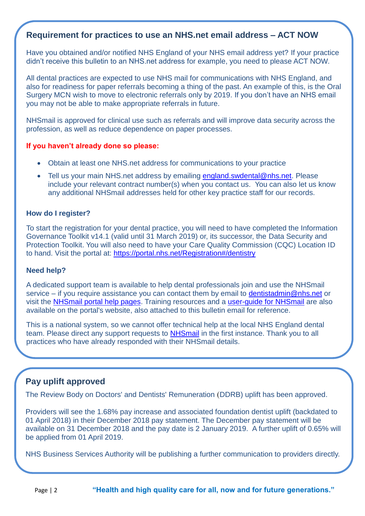#### **Requirement for practices to use an NHS.net email address – ACT NOW**

Have you obtained and/or notified NHS England of your NHS email address yet? If your practice didn't receive this bulletin to an NHS.net address for example, you need to please ACT NOW.

All dental practices are expected to use NHS mail for communications with NHS England, and also for readiness for paper referrals becoming a thing of the past. An example of this, is the Oral Surgery MCN wish to move to electronic referrals only by 2019. If you don't have an NHS email you may not be able to make appropriate referrals in future.

NHSmail is approved for clinical use such as referrals and will improve data security across the profession, as well as reduce dependence on paper processes.

#### **If you haven't already done so please:**

- Obtain at least one NHS.net address for communications to your practice
- Tell us your main NHS.net address by emailing [england.swdental@nhs.net.](mailto:england.swdental@nhs.net?subject=NHSMail%20address%20for%20contract) Please include your relevant contract number(s) when you contact us. You can also let us know any additional NHSmail addresses held for other key practice staff for our records.

#### **How do I register?**

To start the registration for your dental practice, you will need to have completed the Information Governance Toolkit v14.1 (valid until 31 March 2019) or, its successor, the [Data Security and](https://www.dsptoolkit.nhs.uk/)  [Protection Toolkit.](https://www.dsptoolkit.nhs.uk/) You will also need to have your Care Quality Commission (CQC) Location ID to hand. Visit the portal at: <https://portal.nhs.net/Registration#/dentistry>

#### **Need help?**

A dedicated support team is available to help dental professionals join and use the NHSmail service – if you require assistance you can contact them by email to [dentistadmin@nhs.net](mailto:dentistadmin@nhs.net) or visit the [NHSmail portal help pages.](https://portal.nhs.net/Help/) Training resources and a [user-guide for NHSmail](https://s3-eu-west-1.amazonaws.com/comms-mat/Training-Materials/Guidance/HowtocompletetheNHSmailDentistryRegistrationPortal.pdf) are also available on the portal's website, also attached to this bulletin email for reference.

This is a national system, so we cannot offer technical help at the local NHS England dental team. Please direct any support requests to [NHSmail](mailto:dentistadmin@nhs.net) in the first instance. Thank you to all practices who have already responded with their NHSmail details.

#### **Pay uplift approved**

The Review Body on Doctors' and Dentists' Remuneration (DDRB) uplift has been approved.

Providers will see the 1.68% pay increase and associated foundation dentist uplift (backdated to 01 April 2018) in their December 2018 pay statement. The December pay statement will be available on 31 December 2018 and the pay date is 2 January 2019. A further uplift of 0.65% will be applied from 01 April 2019.

NHS Business Services Authority will be publishing a further communication to providers directly.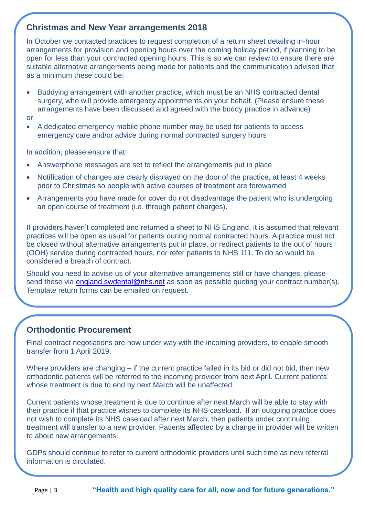#### **Christmas and New Year arrangements 2018**

In October we contacted practices to request completion of a return sheet detailing in-hour arrangements for provision and opening hours over the coming holiday period, if planning to be open for less than your contracted opening hours. This is so we can review to ensure there are suitable alternative arrangements being made for patients and the communication advised that as a minimum these could be:

- Buddying arrangement with another practice, which must be an NHS contracted dental surgery, who will provide emergency appointments on your behalf. (Please ensure these arrangements have been discussed and agreed with the buddy practice in advance)
- or
- A dedicated emergency mobile phone number may be used for patients to access emergency care and/or advice during normal contracted surgery hours

In addition, please ensure that:

- Answerphone messages are set to reflect the arrangements put in place
- Notification of changes are clearly displayed on the door of the practice, at least 4 weeks prior to Christmas so people with active courses of treatment are forewarned
- Arrangements you have made for cover do not disadvantage the patient who is undergoing an open course of treatment (i.e. through patient charges).

If providers haven't completed and returned a sheet to NHS England, it is assumed that relevant practices will be open as usual for patients during normal contracted hours. A practice must not be closed without alternative arrangements put in place, or redirect patients to the out of hours (OOH) service during contracted hours, nor refer patients to NHS 111. To do so would be considered a breach of contract.

Should you need to advise us of your alternative arrangements still or have changes, please send these via [england.swdental@nhs.net](mailto:england.swdental@nhs.net?subject=Christmas%20and%20new%20year%20practice%20arrangements) as soon as possible quoting your contract number(s). Template return forms can be emailed on request.

# **Orthodontic Procurement**

Final contract negotiations are now under way with the incoming providers, to enable smooth transfer from 1 April 2019.

Where providers are changing – if the current practice failed in its bid or did not bid, then new orthodontic patients will be referred to the incoming provider from next April. Current patients whose treatment is due to end by next March will be unaffected.

Current patients whose treatment is due to continue after next March will be able to stay with their practice if that practice wishes to complete its NHS caseload. If an outgoing practice does not wish to complete its NHS caseload after next March, then patients under continuing treatment will transfer to a new provider. Patients affected by a change in provider will be written to about new arrangements.

GDPs should continue to refer to current orthodontic providers until such time as new referral information is circulated.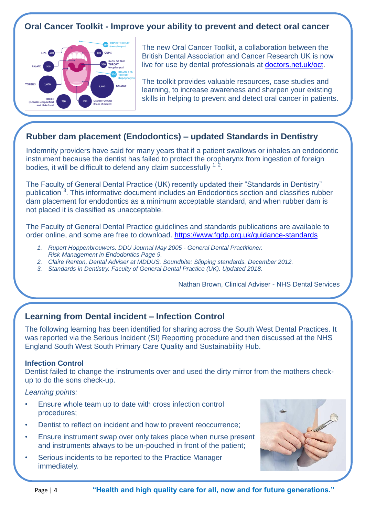# **Oral Cancer Toolkit - Improve your ability to prevent and detect oral cancer**



The new Oral Cancer Toolkit, a collaboration between the British Dental Association and Cancer Research UK is now live for use by dental professionals at [doctors.net.uk/oct.](http://doctors.net.uk/oct)

The toolkit provides valuable resources, case studies and learning, to increase awareness and sharpen your existing skills in helping to prevent and detect oral cancer in patients.

# **Rubber dam placement (Endodontics) – updated Standards in Dentistry**

Indemnity providers have said for many years that if a patient swallows or inhales an endodontic instrument because the dentist has failed to protect the oropharynx from ingestion of foreign bodies, it will be difficult to defend any claim successfully  $1, 2$ .

The Faculty of General Dental Practice (UK) recently updated their "Standards in Dentistry" publication<sup>3</sup>. This informative document includes an Endodontics section and classifies rubber dam placement for endodontics as a minimum acceptable standard, and when rubber dam is not placed it is classified as unacceptable.

The Faculty of General Dental Practice guidelines and standards publications are available to order online, and some are free to download.<https://www.fgdp.org.uk/guidance-standards>

- *1. Rupert Hoppenbrouwers. DDU Journal May 2005 - General Dental Practitioner.*
- *Risk Management in Endodontics Page 9.*
- *2. Claire Renton, Dental Adviser at MDDUS. Soundbite: Slipping standards. December 2012.*
- *3. Standards in Dentistry. Faculty of General Dental Practice (UK). Updated 2018.*

Nathan Brown, Clinical Adviser - NHS Dental Services

# **Learning from Dental incident – Infection Control**

The following learning has been identified for sharing across the South West Dental Practices. It was reported via the Serious Incident (SI) Reporting procedure and then discussed at the NHS England South West South Primary Care Quality and Sustainability Hub.

#### **Infection Control**

Dentist failed to change the instruments over and used the dirty mirror from the mothers checkup to do the sons check-up.

*Learning points:*

- Ensure whole team up to date with cross infection control procedures;
- Dentist to reflect on incident and how to prevent reoccurrence;
- Ensure instrument swap over only takes place when nurse present and instruments always to be un-pouched in front of the patient;
- Serious incidents to be reported to the Practice Manager immediately.

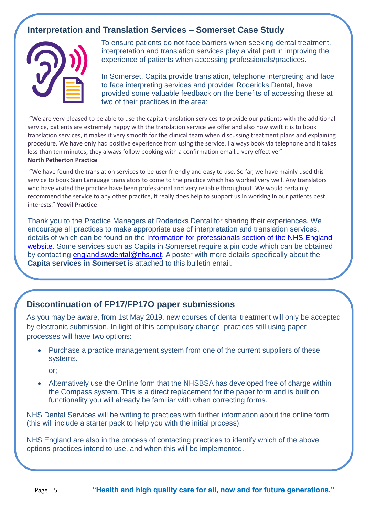# **Interpretation and Translation Services – Somerset Case Study**



To ensure patients do not face barriers when seeking dental treatment, interpretation and translation services play a vital part in improving the experience of patients when accessing professionals/practices.

In Somerset, Capita provide translation, telephone interpreting and face to face interpreting services and provider Rodericks Dental, have provided some valuable feedback on the benefits of accessing these at two of their practices in the area:

"We are very pleased to be able to use the capita translation services to provide our patients with the additional service, patients are extremely happy with the translation service we offer and also how swift it is to book translation services, it makes it very smooth for the clinical team when discussing treatment plans and explaining procedure. We have only had positive experience from using the service. I always book via telephone and it takes less than ten minutes, they always follow booking with a confirmation email… very effective." **North Petherton Practice**

"We have found the translation services to be user friendly and easy to use. So far, we have mainly used this service to book Sign Language translators to come to the practice which has worked very well. Any translators who have visited the practice have been professional and very reliable throughout. We would certainly recommend the service to any other practice, it really does help to support us in working in our patients best interests." **Yeovil Practice**

Thank you to the Practice Managers at Rodericks Dental for sharing their experiences. We encourage all practices to make appropriate use of interpretation and translation services, details of which can be found on the [Information for professionals section of the NHS England](https://www.england.nhs.uk/south/info-professional/dental/dcis/)  [website.](https://www.england.nhs.uk/south/info-professional/dental/dcis/) Some services such as Capita in Somerset require a pin code which can be obtained by contacting [england.swdental@nhs.net.](mailto:england.swdental@nhs.net) A poster with more details specifically about the **Capita services in Somerset** is attached to this bulletin email.

#### **Discontinuation of FP17/FP17O paper submissions**

As you may be aware, from 1st May 2019, new courses of dental treatment will only be accepted by electronic submission. In light of this compulsory change, practices still using paper processes will have two options:

• Purchase a practice management system from one of the current suppliers of these systems.

or;

 Alternatively use the Online form that the NHSBSA has developed free of charge within the Compass system. This is a direct replacement for the paper form and is built on functionality you will already be familiar with when correcting forms.

NHS Dental Services will be writing to practices with further information about the online form (this will include a starter pack to help you with the initial process).

NHS England are also in the process of contacting practices to identify which of the above options practices intend to use, and when this will be implemented.